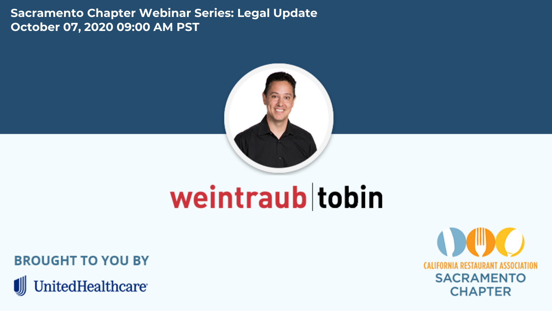**[Sacramento Chapter Webinar Series: Legal Update](https://www.calrest.org/sites/main/files/imagecache/lightbox/main-images/sacramento-chapter-uhc-luc-weintraub-tobin-webinar-template-coronavirus-resources-page.png) October 07, 2020 09:00 AM PST**



## weintraub tobin

**BROUGHT TO YOU BY** 

**UnitedHealthcare** 

Ш **CALIFORNIA RESTAURANT ASSOCIATION SACRAMENTO CHAPTER**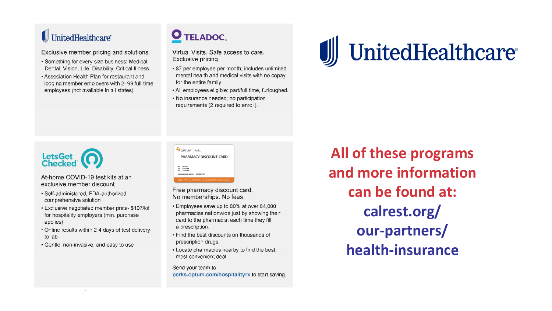#### UnitedHealthcare®

Exclusive member pricing and solutions.

- · Something for every size business: Medical, Dental, Vision, Life, Disability, Critical Illness.
- . Association Health Plan for restaurant and lodging member employers with 2-99 full-time employees (not available in all states).

#### **O** TELADOC.

Virtual Visits, Safe access to care. Exclusive pricing.

- · \$7 per employee per month; includes unlimited mental health and medical visits with no copay for the entire family.
- . All employees eligible: part/full time, furloughed.
- · No insurance needed; no participation requirements (2 required to enroll).





At-home COVID-19 test kits at an exclusive member discount

- · Self-administered FDA-authorized comprehensive solution
- Exclusive negotiated member price- \$107/kit for hospitality employers (min. purchase applies)
- . Online results within 2-4 days of test delivery to lab
- . Gentle, non-invasive, and easy to use

|            | PHARMACY DISCOUNT CARD      |
|------------|-----------------------------|
|            |                             |
| <b>SIN</b> | 005047                      |
|            | 9746018                     |
| <b>MM</b>  | <b>CLAIRACE</b>             |
|            | AUTOMOTIVE NUMBER AAA100200 |

Free pharmacy discount card. No memberships. No fees.

- . Employees save up to 80% at over 64,000 pharmacies nationwide just by showing their card to the pharmacist each time they fill a prescription.
- . Find the best discounts on thousands of prescription drugs.
- . Locate pharmacies nearby to find the best, most convenient deal.

Send your team to perks.optum.com/hospitalityrx to start saving

**All of these programs and more information can be found at: calrest.org/ our-partners/ health-insurance**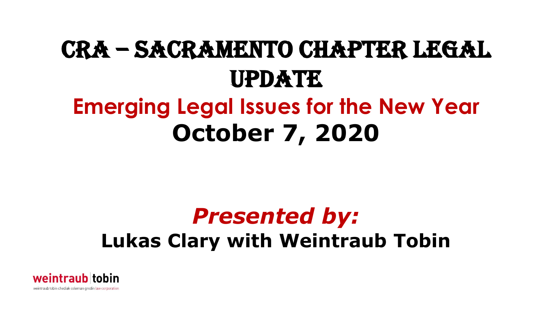### CRA – Sacramento Chapter legal update **Emerging Legal Issues for the New Year October 7, 2020**

### *Presented by:*

#### **Lukas Clary with Weintraub Tobin**

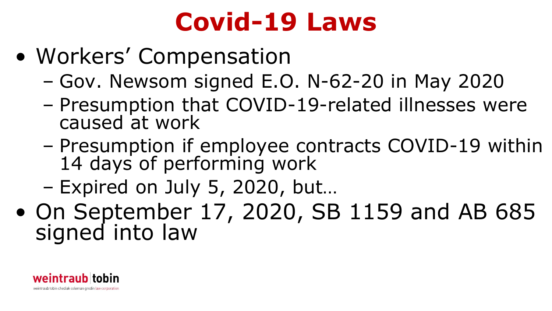### **Covid-19 Laws**

- Workers' Compensation
	- Gov. Newsom signed E.O. N-62-20 in May 2020
	- Presumption that COVID-19-related illnesses were caused at work
	- Presumption if employee contracts COVID-19 within 14 days of performing work
	- Expired on July 5, 2020, but…
- On September 17, 2020, SB 1159 and AB 685 signed into law

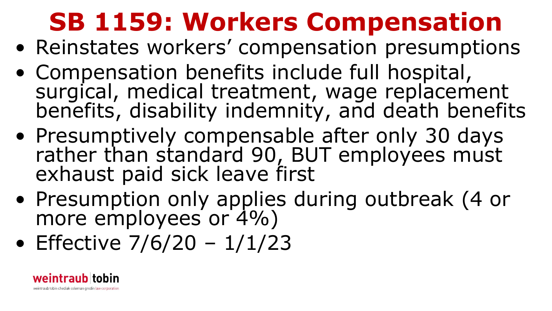## **SB 1159: Workers Compensation**

- Reinstates workers' compensation presumptions
- Compensation benefits include full hospital, surgical, medical treatment, wage replacement benefits, disability indemnity, and death benefits
- Presumptively compensable after only 30 days rather than standard 90, BUT employees must exhaust paid sick leave first
- Presumption only applies during outbreak (4 or more employees or 4%)
- Effective  $7/6/20 1/1/23$

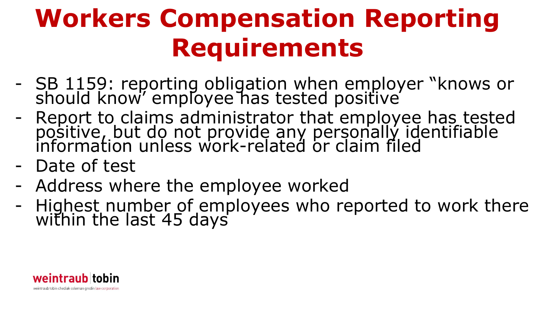## **Workers Compensation Reporting Requirements**

- SB 1159: reporting obligation when employer "knows or should know' employee has tested positive
- Report to claims administrator that employee has tested positive, but do not provide any personally identifiable information unless work-related or claim filed
- Date of test
- Address where the employee worked
- Highest number of employees who reported to work there within the last 45 days

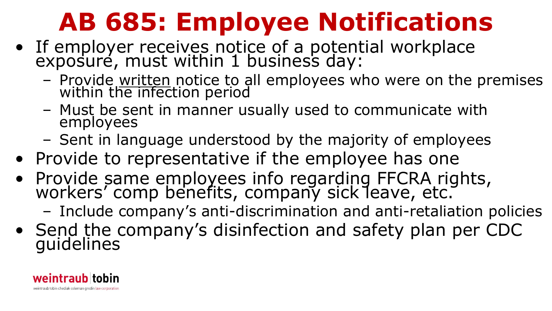## **AB 685: Employee Notifications**

- If employer receives notice of a potential workplace exposuré, must within 1 business day:
	- Provide written notice to all employees who were on the premises within the infection period
	- Must be sent in manner usually used to communicate with employees
	- Sent in language understood by the majority of employees
- Provide to representative if the employee has one
- Provide same employees info regarding FFCRA rights, workers' comp benefits, company sick leave, etc.
	- Include company's anti-discrimination and anti-retaliation policies
- Send the company's disinfection and safety plan per CDC guidelines

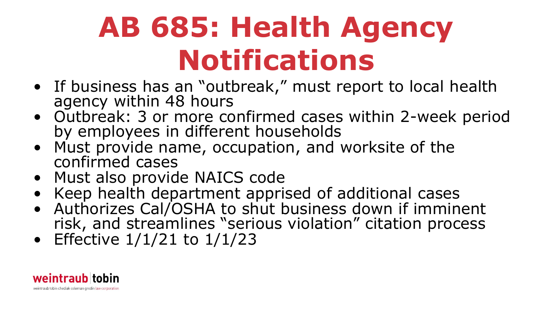## **AB 685: Health Agency Notifications**

- If business has an "outbreak," must report to local health agency within 48 hours
- Outbreak: 3 or more confirmed cases within 2-week period by employees in different households
- Must provide name, occupation, and worksite of the confirmed cases
- Must also provide NAICS code
- Keep health department apprised of additional cases
- Authorizes Cal/OSHA to shut business down if imminent risk, and streamlines "serious violation" citation process
- Effective  $1/1/21$  to  $1/1/23$

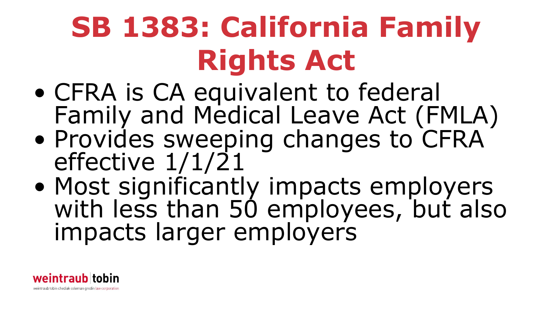# **SB 1383: California Family Rights Act**

- CFRA is CA equivalent to federal Family and Medical Leave Act (FMLA)
- Provides sweeping changes to CFRA effective 1/1/21
- Most significantly impacts employers with less than 50 employees, but also impacts larger employers

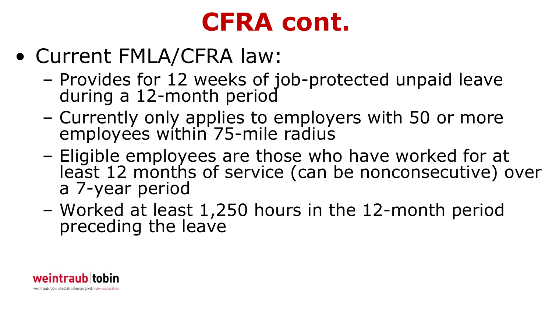### **CFRA cont.**

- Current FMLA/CFRA law:
	- Provides for 12 weeks of job-protected unpaid leave during a 12-month period
	- Currently only applies to employers with 50 or more employees within 75-mile radius
	- Eligible employees are those who have worked for at least 12 months of service (can be nonconsecutive) over a 7-year period
	- Worked at least 1,250 hours in the 12-month period preceding the leave

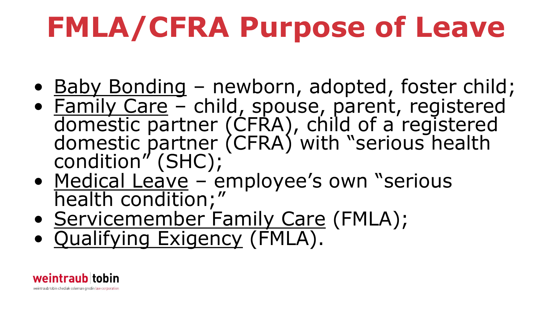# **FMLA/CFRA Purpose of Leave**

- <u>Baby Bonding</u> newborn, adopted, foster child;
- Family Care child, spouse, parent, registered domestic partner (CFRA), child of a registered domestic partner (CFRA) with "serious health condition" (SHC);
- Medical Leave employee's own "serious<br>health condition;"
- Servicemember Family Care (FMLA);
- Qualifying Exigency (FMLA).

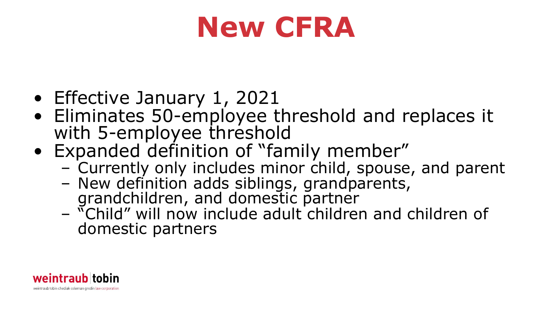## **New CFRA**

- Effective January 1, 2021
- Eliminates 50-employee threshold and replaces it with 5-employee threshold
- Expanded definition of "family member"
	- Currently only includes minor child, spouse, and parent
	- New definition adds siblings, grandparents, grandchildren, and domestic partner
	- "Child" will now include adult children and children of domestic partners

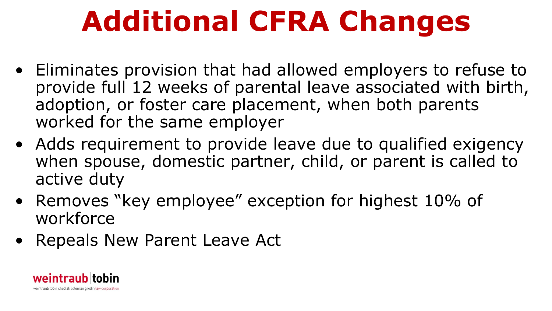## **Additional CFRA Changes**

- Eliminates provision that had allowed employers to refuse to provide full 12 weeks of parental leave associated with birth, adoption, or foster care placement, when both parents worked for the same employer
- Adds requirement to provide leave due to qualified exigency when spouse, domestic partner, child, or parent is called to active duty
- Removes "key employee" exception for highest 10% of workforce
- Repeals New Parent Leave Act

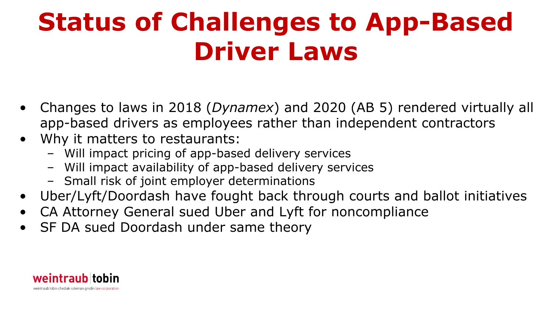### **Status of Challenges to App-Based Driver Laws**

- Changes to laws in 2018 (*Dynamex*) and 2020 (AB 5) rendered virtually all app-based drivers as employees rather than independent contractors
- Why it matters to restaurants:
	- Will impact pricing of app-based delivery services
	- Will impact availability of app-based delivery services
	- Small risk of joint employer determinations
- Uber/Lyft/Doordash have fought back through courts and ballot initiatives
- CA Attorney General sued Uber and Lyft for noncompliance
- SF DA sued Doordash under same theory

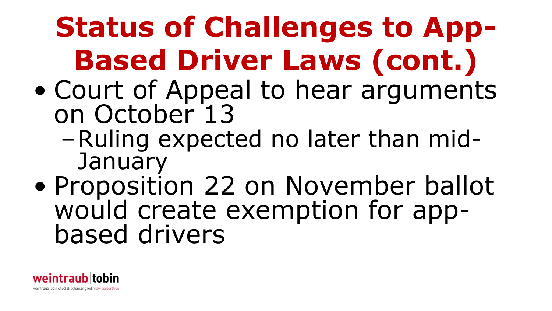## **Status of Challenges to App-Based Driver Laws (cont.)**

- Court of Appeal to hear arguments on October 13
	- –Ruling expected no later than mid- January
- Proposition 22 on November ballot would create exemption for app-<br>based drivers

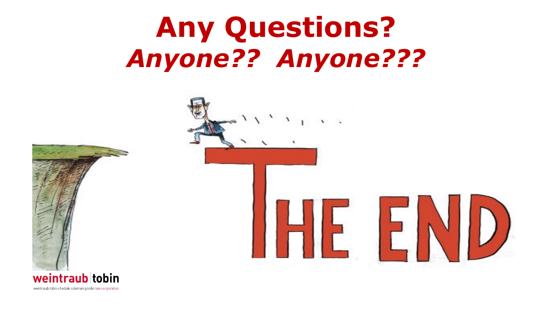## **Any Questions?**  *Anyone?? Anyone???*



weintraub tobin chediak coleman grodin law corporation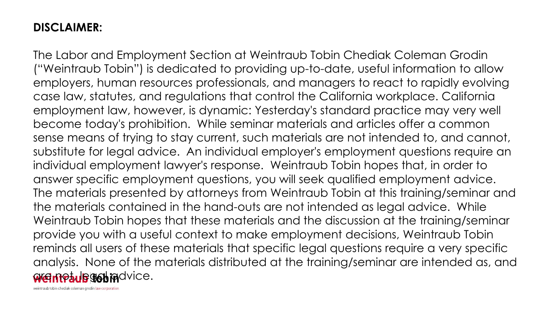#### **DISCLAIMER:**

The Labor and Employment Section at Weintraub Tobin Chediak Coleman Grodin ("Weintraub Tobin") is dedicated to providing up-to-date, useful information to allow employers, human resources professionals, and managers to react to rapidly evolving case law, statutes, and regulations that control the California workplace. California employment law, however, is dynamic: Yesterday's standard practice may very well become today's prohibition. While seminar materials and articles offer a common sense means of trying to stay current, such materials are not intended to, and cannot, substitute for legal advice. An individual employer's employment questions require an individual employment lawyer's response. Weintraub Tobin hopes that, in order to answer specific employment questions, you will seek qualified employment advice. The materials presented by attorneys from Weintraub Tobin at this training/seminar and the materials contained in the hand-outs are not intended as legal advice. While Weintraub Tobin hopes that these materials and the discussion at the training/seminar provide you with a useful context to make employment decisions, Weintraub Tobin reminds all users of these materials that specific legal questions require a very specific analysis. None of the materials distributed at the training/seminar are intended as, and ar<del>d met, legat ra</del>dvice.

weintraub tobin chediak coleman grodin law corporation